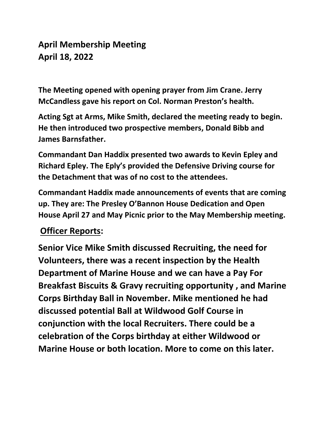## **April Membership Meeting April 18, 2022**

**The Meeting opened with opening prayer from Jim Crane. Jerry McCandless gave his report on Col. Norman Preston's health.**

**Acting Sgt at Arms, Mike Smith, declared the meeting ready to begin. He then introduced two prospective members, Donald Bibb and James Barnsfather.**

**Commandant Dan Haddix presented two awards to Kevin Epley and Richard Epley. The Eply's provided the Defensive Driving course for the Detachment that was of no cost to the attendees.**

**Commandant Haddix made announcements of events that are coming up. They are: The Presley O'Bannon House Dedication and Open House April 27 and May Picnic prior to the May Membership meeting.**

## **Officer Reports:**

**Senior Vice Mike Smith discussed Recruiting, the need for Volunteers, there was a recent inspection by the Health Department of Marine House and we can have a Pay For Breakfast Biscuits & Gravy recruiting opportunity , and Marine Corps Birthday Ball in November. Mike mentioned he had discussed potential Ball at Wildwood Golf Course in conjunction with the local Recruiters. There could be a celebration of the Corps birthday at either Wildwood or Marine House or both location. More to come on this later.**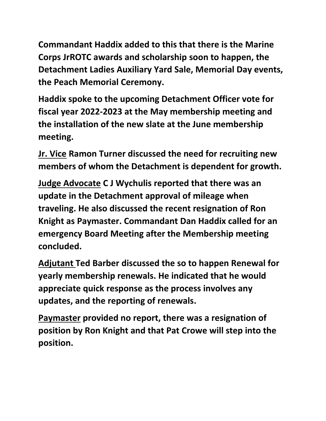**Commandant Haddix added to this that there is the Marine Corps JrROTC awards and scholarship soon to happen, the Detachment Ladies Auxiliary Yard Sale, Memorial Day events, the Peach Memorial Ceremony.**

**Haddix spoke to the upcoming Detachment Officer vote for fiscal year 2022-2023 at the May membership meeting and the installation of the new slate at the June membership meeting.** 

**Jr. Vice Ramon Turner discussed the need for recruiting new members of whom the Detachment is dependent for growth.**

**Judge Advocate C J Wychulis reported that there was an update in the Detachment approval of mileage when traveling. He also discussed the recent resignation of Ron Knight as Paymaster. Commandant Dan Haddix called for an emergency Board Meeting after the Membership meeting concluded.**

**Adjutant Ted Barber discussed the so to happen Renewal for yearly membership renewals. He indicated that he would appreciate quick response as the process involves any updates, and the reporting of renewals.**

**Paymaster provided no report, there was a resignation of position by Ron Knight and that Pat Crowe will step into the position.**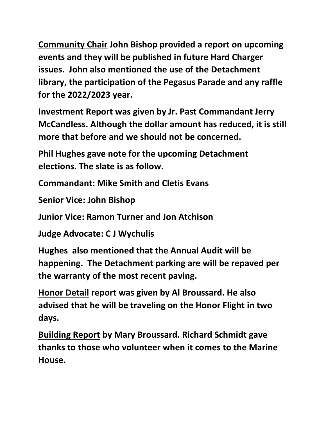**Community Chair John Bishop provided a report on upcoming events and they will be published in future Hard Charger issues. John also mentioned the use of the Detachment library, the participation of the Pegasus Parade and any raffle for the 2022/2023 year.**

**Investment Report was given by Jr. Past Commandant Jerry McCandless. Although the dollar amount has reduced, it is still more that before and we should not be concerned.**

**Phil Hughes gave note for the upcoming Detachment elections. The slate is as follow.**

**Commandant: Mike Smith and Cletis Evans**

**Senior Vice: John Bishop**

**Junior Vice: Ramon Turner and Jon Atchison**

**Judge Advocate: C J Wychulis**

**Hughes also mentioned that the Annual Audit will be happening. The Detachment parking are will be repaved per the warranty of the most recent paving.**

**Honor Detail report was given by Al Broussard. He also advised that he will be traveling on the Honor Flight in two days.** 

**Building Report by Mary Broussard. Richard Schmidt gave thanks to those who volunteer when it comes to the Marine House.**